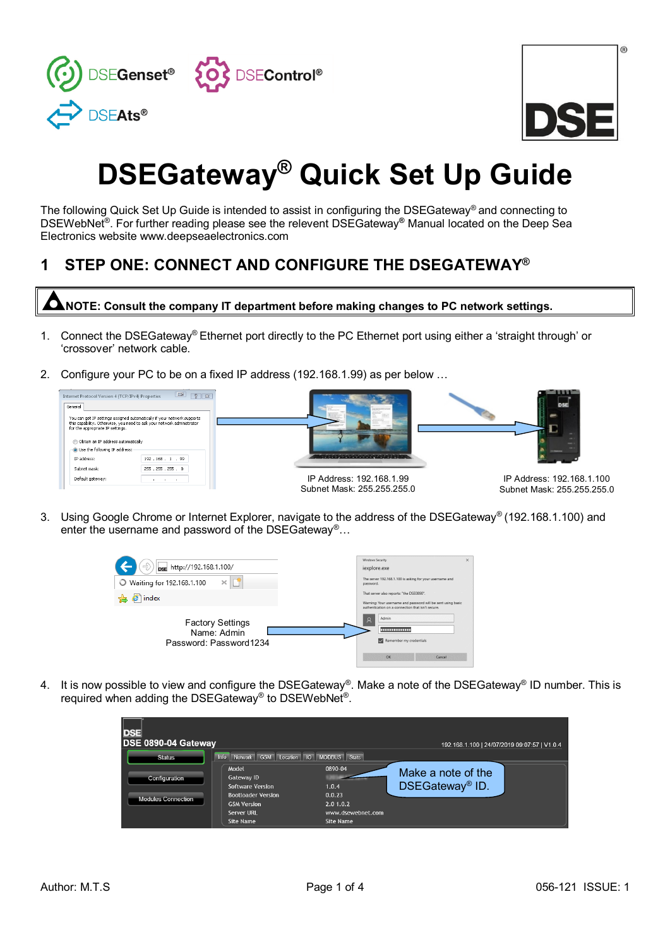

|  | $^{\circ}$ |
|--|------------|
|  |            |
|  |            |

# **DSEGateway® Quick Set Up Guide**

The following Quick Set Up Guide is intended to assist in configuring the DSEGateway® and connecting to DSEWebNet® . For further reading please see the relevent DSEGateway**®** Manual located on the Deep Sea Electronics website www.deepseaelectronics.com

# **1 STEP ONE: CONNECT AND CONFIGURE THE DSEGATEWAY®**

**NOTE: Consult the company IT department before making changes to PC network settings.**

- 1. Connect the DSEGateway® Ethernet port directly to the PC Ethernet port using either a 'straight through' or 'crossover' network cable.
- 2. Configure your PC to be on a fixed IP address (192.168.1.99) as per below …



3. Using Google Chrome or Internet Explorer, navigate to the address of the DSEGateway® (192.168.1.100) and enter the username and password of the DSEGateway<sup>®</sup>...



4. It is now possible to view and configure the DSEGateway®. Make a note of the DSEGateway® ID number. This is required when adding the DSEGateway® to DSEWebNet®.

| DSE 0890-04 Gateway                        |                                                                                                                              |                                                                           | 192.168.1.100   24/07/2019 09:07:57   V1.0.4      |
|--------------------------------------------|------------------------------------------------------------------------------------------------------------------------------|---------------------------------------------------------------------------|---------------------------------------------------|
| <b>Status</b>                              | Network GSM Location IO MODBUS Stats<br>Info                                                                                 |                                                                           |                                                   |
| Configuration<br><b>Modules Connection</b> | Model<br>Gateway ID<br><b>Software Version</b><br><b>Bootloader Version</b><br><b>GSM Version</b><br>Server URL<br>Site Name | 0890-04<br>1.0.4<br>0.0.23<br>2.0 1.0.2<br>www.dsewebnet.com<br>Site Name | Make a note of the<br>DSEGateway <sup>®</sup> ID. |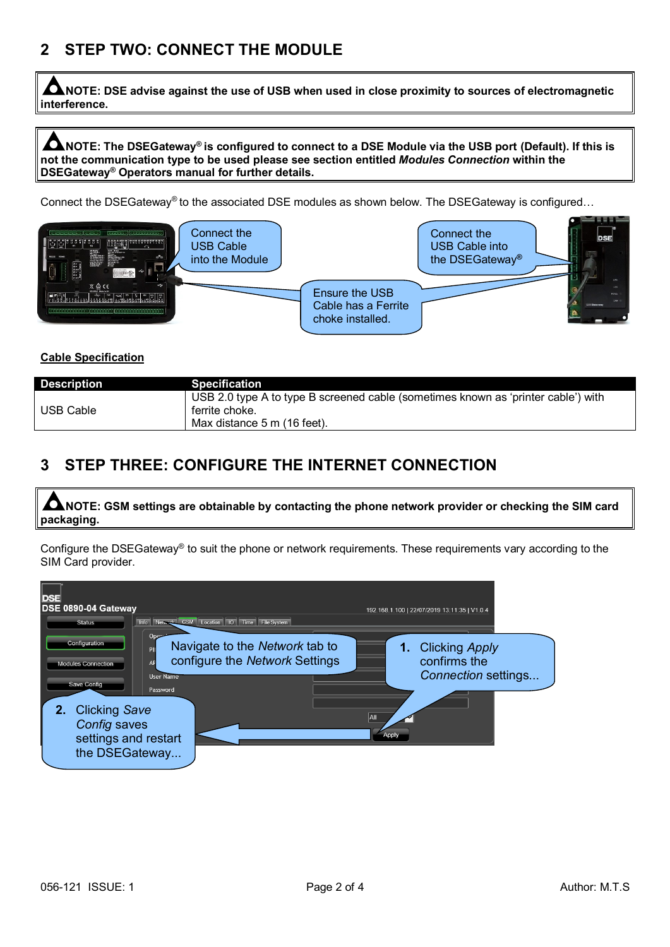## **2 STEP TWO: CONNECT THE MODULE**

**NOTE: DSE advise against the use of USB when used in close proximity to sources of electromagnetic interference.**

C **NOTE: The DSEGateway® is configured to connect to a DSE Module via the USB port (Default). If this is not the communication type to be used please see section entitled** *Modules Connection* **within the DSEGateway® Operators manual for further details.**

Connect the DSEGateway® to the associated DSE modules as shown below. The DSEGateway is configured…



### **Cable Specification**

| <b>Description</b> | <b>Specification</b>                                                              |
|--------------------|-----------------------------------------------------------------------------------|
|                    | USB 2.0 type A to type B screened cable (sometimes known as 'printer cable') with |
| <b>USB Cable</b>   | ferrite choke.                                                                    |
|                    | Max distance 5 m (16 feet).                                                       |

## **3 STEP THREE: CONFIGURE THE INTERNET CONNECTION**

 $\bullet$ **NOTE: GSM settings are obtainable by contacting the phone network provider or checking the SIM card packaging.**

Configure the DSEGateway® to suit the phone or network requirements. These requirements vary according to the SIM Card provider.

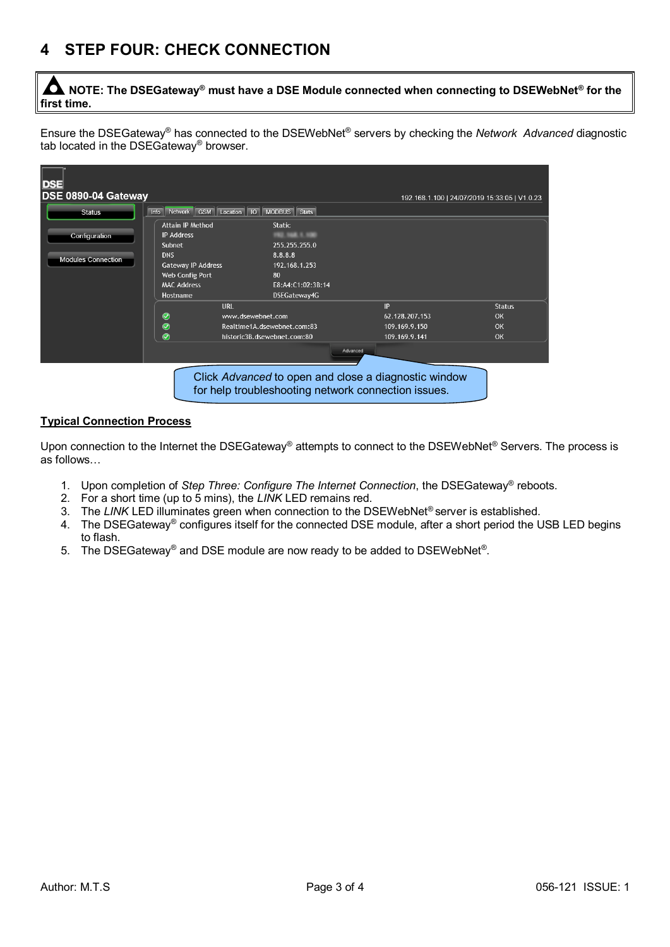# **4 STEP FOUR: CHECK CONNECTION**

C **NOTE: The DSEGateway® must have a DSE Module connected when connecting to DSEWebNet® for the first time.**

Ensure the DSEGateway® has connected to the DSEWebNet® servers by checking the *Network Advanced* diagnostic tab located in the DSEGateway® browser.

| <b>DSE</b>                                 |                                 |                             |                                                     |                                                      |                                               |
|--------------------------------------------|---------------------------------|-----------------------------|-----------------------------------------------------|------------------------------------------------------|-----------------------------------------------|
| DSE 0890-04 Gateway                        |                                 |                             |                                                     |                                                      | 192.168.1.100   24/07/2019 15:33:05   V1.0.23 |
| <b>Status</b>                              | Network GSM Location IO<br>Info | MODBUS Stats                |                                                     |                                                      |                                               |
|                                            | <b>Attain IP Method</b>         | <b>Static</b>               |                                                     |                                                      |                                               |
| Configuration<br><b>Modules Connection</b> | <b>IP Address</b>               |                             |                                                     |                                                      |                                               |
|                                            | Subnet                          | 255.255.255.0               |                                                     |                                                      |                                               |
|                                            | <b>DNS</b>                      | 8.8.8.8                     |                                                     |                                                      |                                               |
|                                            | <b>Gateway IP Address</b>       | 192.168.1.253               |                                                     |                                                      |                                               |
|                                            | Web Config Port                 | 80                          |                                                     |                                                      |                                               |
|                                            | <b>MAC Address</b>              |                             | E8:A4:C1:02:3B:14                                   |                                                      |                                               |
|                                            | Hostname                        | DSEGateway4G                |                                                     |                                                      |                                               |
|                                            |                                 | URL                         |                                                     | IP                                                   | <b>Status</b>                                 |
|                                            | Ø                               | www.dsewebnet.com           |                                                     | 62.128.207.153                                       | OK                                            |
|                                            | $\bullet$                       | Realtime1A.dsewebnet.com:83 |                                                     | 109.169.9.150                                        | OK                                            |
|                                            | Ø                               | historic3B.dsewebnet.com:80 |                                                     | 109.169.9.141                                        | OK                                            |
|                                            |                                 |                             | Advanced                                            |                                                      |                                               |
|                                            |                                 |                             |                                                     |                                                      |                                               |
|                                            |                                 |                             | for help troubleshooting network connection issues. | Click Advanced to open and close a diagnostic window |                                               |

#### **Typical Connection Process**

Upon connection to the Internet the DSEGateway® attempts to connect to the DSEWebNet® Servers. The process is as follows…

- 1. Upon completion of *Step Three: Configure The Internet Connection*, the DSEGateway® reboots.
- 2. For a short time (up to 5 mins), the *LINK* LED remains red.
- 3. The *LINK* LED illuminates green when connection to the DSEWebNet<sup>®</sup> server is established.
- 4. The DSEGateway® configures itself for the connected DSE module, after a short period the USB LED begins to flash.
- 5. The DSEGateway® and DSE module are now ready to be added to DSEWebNet®.